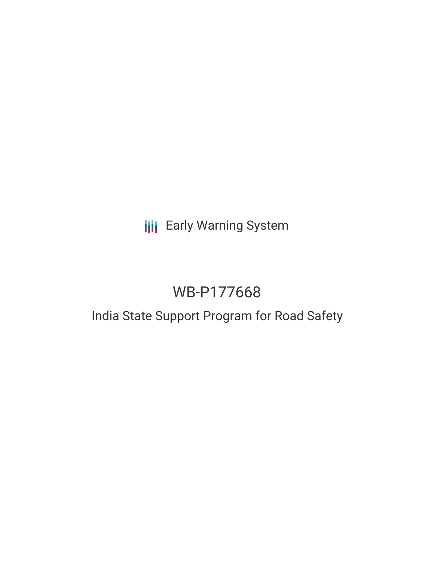# **III** Early Warning System

# WB-P177668

## India State Support Program for Road Safety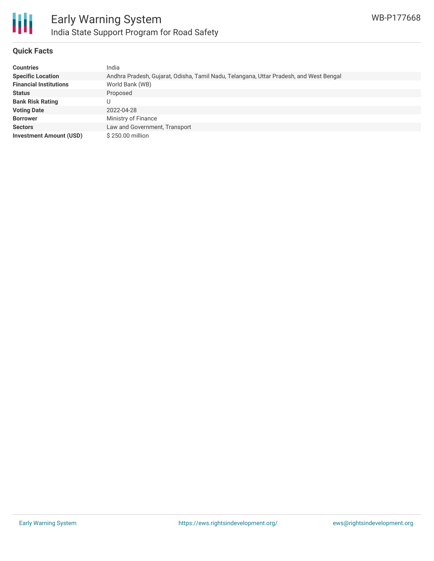

### **Quick Facts**

| <b>Countries</b>               | India                                                                                  |
|--------------------------------|----------------------------------------------------------------------------------------|
| <b>Specific Location</b>       | Andhra Pradesh, Gujarat, Odisha, Tamil Nadu, Telangana, Uttar Pradesh, and West Bengal |
| <b>Financial Institutions</b>  | World Bank (WB)                                                                        |
| <b>Status</b>                  | Proposed                                                                               |
| <b>Bank Risk Rating</b>        |                                                                                        |
| <b>Voting Date</b>             | 2022-04-28                                                                             |
| <b>Borrower</b>                | Ministry of Finance                                                                    |
| <b>Sectors</b>                 | Law and Government, Transport                                                          |
| <b>Investment Amount (USD)</b> | \$250.00 million                                                                       |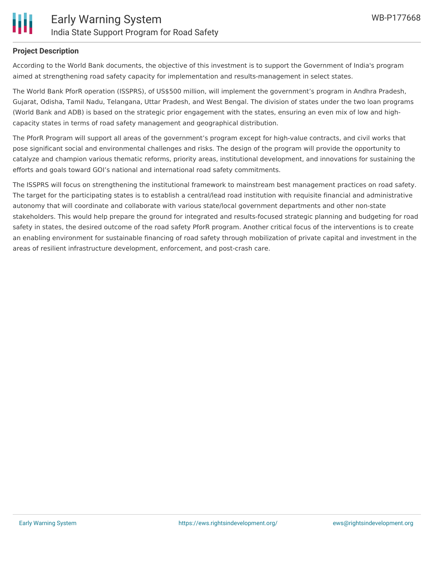

#### **Project Description**

According to the World Bank documents, the objective of this investment is to support the Government of India's program aimed at strengthening road safety capacity for implementation and results-management in select states.

The World Bank PforR operation (ISSPRS), of US\$500 million, will implement the government's program in Andhra Pradesh, Gujarat, Odisha, Tamil Nadu, Telangana, Uttar Pradesh, and West Bengal. The division of states under the two loan programs (World Bank and ADB) is based on the strategic prior engagement with the states, ensuring an even mix of low and highcapacity states in terms of road safety management and geographical distribution.

The PforR Program will support all areas of the government's program except for high-value contracts, and civil works that pose significant social and environmental challenges and risks. The design of the program will provide the opportunity to catalyze and champion various thematic reforms, priority areas, institutional development, and innovations for sustaining the efforts and goals toward GOI's national and international road safety commitments.

The ISSPRS will focus on strengthening the institutional framework to mainstream best management practices on road safety. The target for the participating states is to establish a central/lead road institution with requisite financial and administrative autonomy that will coordinate and collaborate with various state/local government departments and other non-state stakeholders. This would help prepare the ground for integrated and results-focused strategic planning and budgeting for road safety in states, the desired outcome of the road safety PforR program. Another critical focus of the interventions is to create an enabling environment for sustainable financing of road safety through mobilization of private capital and investment in the areas of resilient infrastructure development, enforcement, and post-crash care.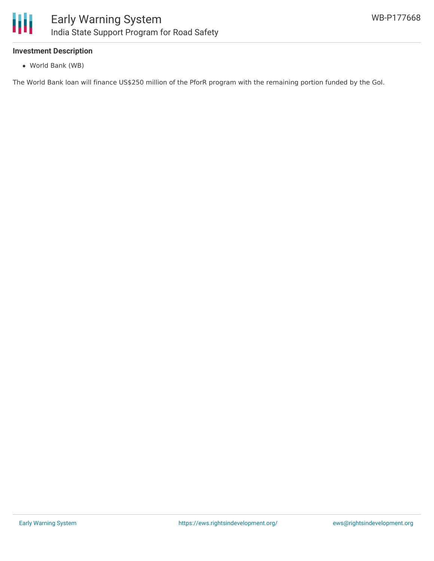

#### **Investment Description**

World Bank (WB)

The World Bank loan will finance US\$250 million of the PforR program with the remaining portion funded by the GoI.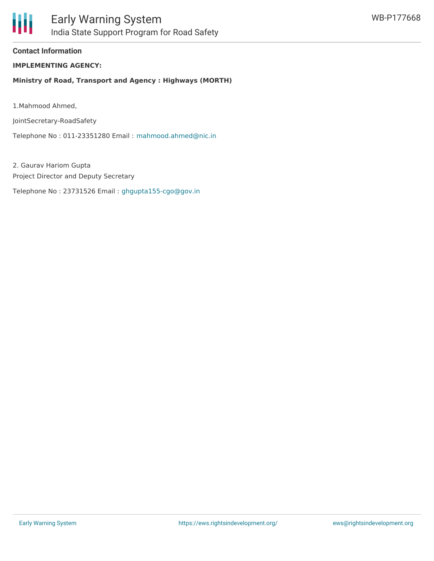

**Contact Information**

**IMPLEMENTING AGENCY:**

**Ministry of Road, Transport and Agency : Highways (MORTH)**

1.Mahmood Ahmed,

JointSecretary-RoadSafety

Telephone No : 011-23351280 Email : [mahmood.ahmed@nic.in](mailto:mahmood.ahmed@nic.in)

2. Gaurav Hariom Gupta Project Director and Deputy Secretary

Telephone No : 23731526 Email : [ghgupta155-cgo@gov.in](mailto:ghgupta155-cgo@gov.in)